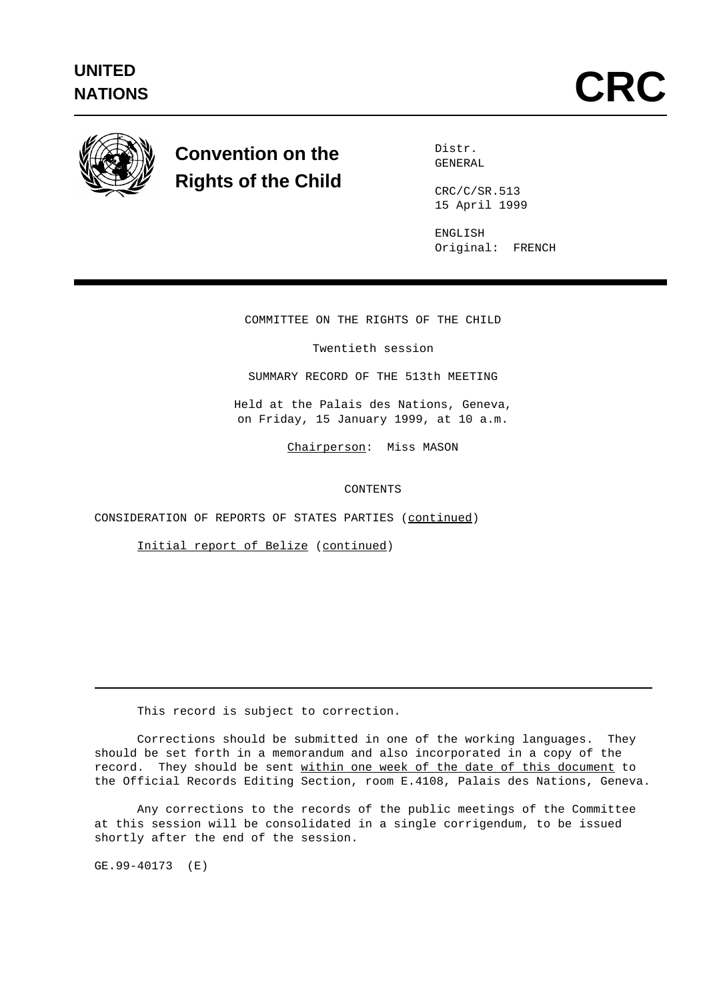

## **Convention on the Rights of the Child**

Distr. GENERAL

CRC/C/SR.513 15 April 1999

ENGLISH Original: FRENCH

COMMITTEE ON THE RIGHTS OF THE CHILD

Twentieth session

SUMMARY RECORD OF THE 513th MEETING

Held at the Palais des Nations, Geneva, on Friday, 15 January 1999, at 10 a.m.

Chairperson: Miss MASON

CONTENTS

CONSIDERATION OF REPORTS OF STATES PARTIES (continued)

Initial report of Belize (continued)

This record is subject to correction.

Corrections should be submitted in one of the working languages. They should be set forth in a memorandum and also incorporated in a copy of the record. They should be sent within one week of the date of this document to the Official Records Editing Section, room E.4108, Palais des Nations, Geneva.

Any corrections to the records of the public meetings of the Committee at this session will be consolidated in a single corrigendum, to be issued shortly after the end of the session.

GE.99-40173 (E)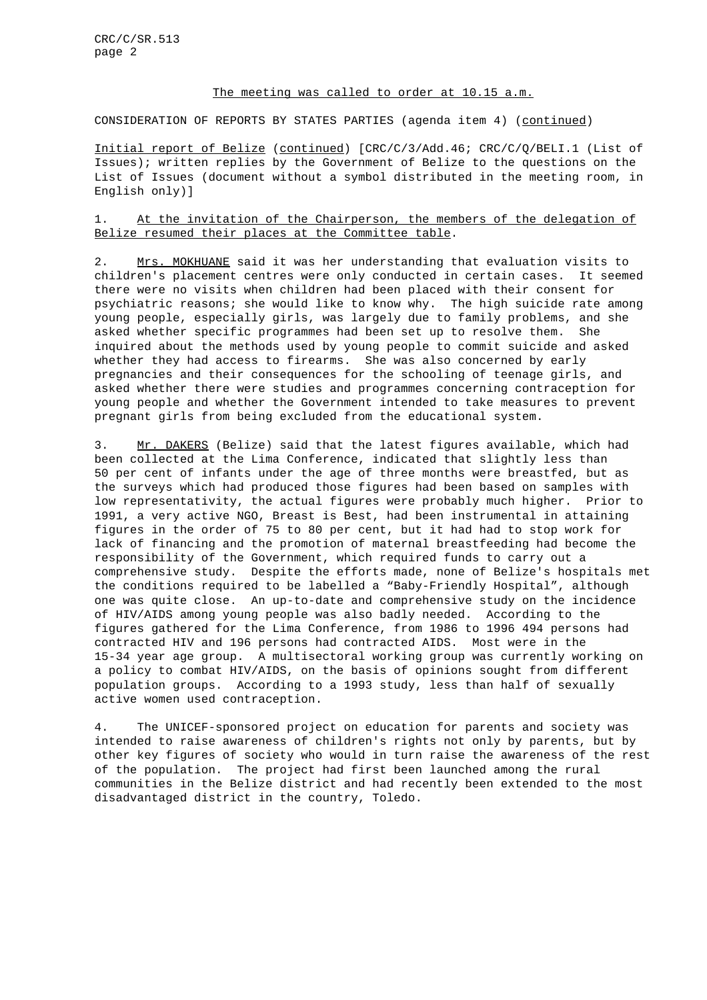## The meeting was called to order at 10.15 a.m.

CONSIDERATION OF REPORTS BY STATES PARTIES (agenda item 4) (continued)

Initial report of Belize (continued) [CRC/C/3/Add.46; CRC/C/Q/BELI.1 (List of Issues); written replies by the Government of Belize to the questions on the List of Issues (document without a symbol distributed in the meeting room, in English only)]

1. At the invitation of the Chairperson, the members of the delegation of Belize resumed their places at the Committee table.

2. Mrs. MOKHUANE said it was her understanding that evaluation visits to children's placement centres were only conducted in certain cases. It seemed there were no visits when children had been placed with their consent for psychiatric reasons; she would like to know why. The high suicide rate among young people, especially girls, was largely due to family problems, and she asked whether specific programmes had been set up to resolve them. She inquired about the methods used by young people to commit suicide and asked whether they had access to firearms. She was also concerned by early pregnancies and their consequences for the schooling of teenage girls, and asked whether there were studies and programmes concerning contraception for young people and whether the Government intended to take measures to prevent pregnant girls from being excluded from the educational system.

3. Mr. DAKERS (Belize) said that the latest figures available, which had been collected at the Lima Conference, indicated that slightly less than 50 per cent of infants under the age of three months were breastfed, but as the surveys which had produced those figures had been based on samples with low representativity, the actual figures were probably much higher. Prior to 1991, a very active NGO, Breast is Best, had been instrumental in attaining figures in the order of 75 to 80 per cent, but it had had to stop work for lack of financing and the promotion of maternal breastfeeding had become the responsibility of the Government, which required funds to carry out a comprehensive study. Despite the efforts made, none of Belize's hospitals met the conditions required to be labelled a "Baby-Friendly Hospital", although one was quite close. An up-to-date and comprehensive study on the incidence of HIV/AIDS among young people was also badly needed. According to the figures gathered for the Lima Conference, from 1986 to 1996 494 persons had contracted HIV and 196 persons had contracted AIDS. Most were in the 15-34 year age group. A multisectoral working group was currently working on a policy to combat HIV/AIDS, on the basis of opinions sought from different population groups. According to a 1993 study, less than half of sexually active women used contraception.

4. The UNICEF-sponsored project on education for parents and society was intended to raise awareness of children's rights not only by parents, but by other key figures of society who would in turn raise the awareness of the rest of the population. The project had first been launched among the rural communities in the Belize district and had recently been extended to the most disadvantaged district in the country, Toledo.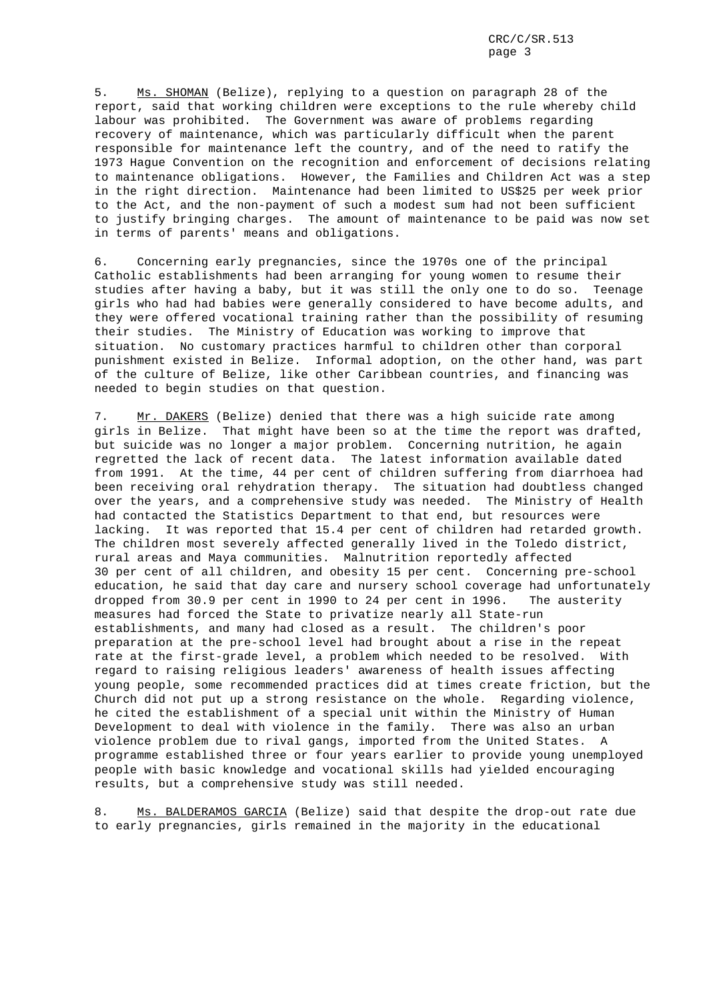5. Ms. SHOMAN (Belize), replying to a question on paragraph 28 of the report, said that working children were exceptions to the rule whereby child labour was prohibited. The Government was aware of problems regarding recovery of maintenance, which was particularly difficult when the parent responsible for maintenance left the country, and of the need to ratify the 1973 Hague Convention on the recognition and enforcement of decisions relating to maintenance obligations. However, the Families and Children Act was a step in the right direction. Maintenance had been limited to US\$25 per week prior to the Act, and the non-payment of such a modest sum had not been sufficient to justify bringing charges. The amount of maintenance to be paid was now set in terms of parents' means and obligations.

6. Concerning early pregnancies, since the 1970s one of the principal Catholic establishments had been arranging for young women to resume their studies after having a baby, but it was still the only one to do so. Teenage girls who had had babies were generally considered to have become adults, and they were offered vocational training rather than the possibility of resuming their studies. The Ministry of Education was working to improve that situation. No customary practices harmful to children other than corporal punishment existed in Belize. Informal adoption, on the other hand, was part of the culture of Belize, like other Caribbean countries, and financing was needed to begin studies on that question.

7. Mr. DAKERS (Belize) denied that there was a high suicide rate among girls in Belize. That might have been so at the time the report was drafted, but suicide was no longer a major problem. Concerning nutrition, he again regretted the lack of recent data. The latest information available dated from 1991. At the time, 44 per cent of children suffering from diarrhoea had been receiving oral rehydration therapy. The situation had doubtless changed over the years, and a comprehensive study was needed. The Ministry of Health had contacted the Statistics Department to that end, but resources were lacking. It was reported that 15.4 per cent of children had retarded growth. The children most severely affected generally lived in the Toledo district, rural areas and Maya communities. Malnutrition reportedly affected 30 per cent of all children, and obesity 15 per cent. Concerning pre-school education, he said that day care and nursery school coverage had unfortunately dropped from 30.9 per cent in 1990 to 24 per cent in 1996. The austerity measures had forced the State to privatize nearly all State-run establishments, and many had closed as a result. The children's poor preparation at the pre-school level had brought about a rise in the repeat rate at the first-grade level, a problem which needed to be resolved. With regard to raising religious leaders' awareness of health issues affecting young people, some recommended practices did at times create friction, but the Church did not put up a strong resistance on the whole. Regarding violence, he cited the establishment of a special unit within the Ministry of Human Development to deal with violence in the family. There was also an urban violence problem due to rival gangs, imported from the United States. A programme established three or four years earlier to provide young unemployed people with basic knowledge and vocational skills had yielded encouraging results, but a comprehensive study was still needed.

8. Ms. BALDERAMOS GARCIA (Belize) said that despite the drop-out rate due to early pregnancies, girls remained in the majority in the educational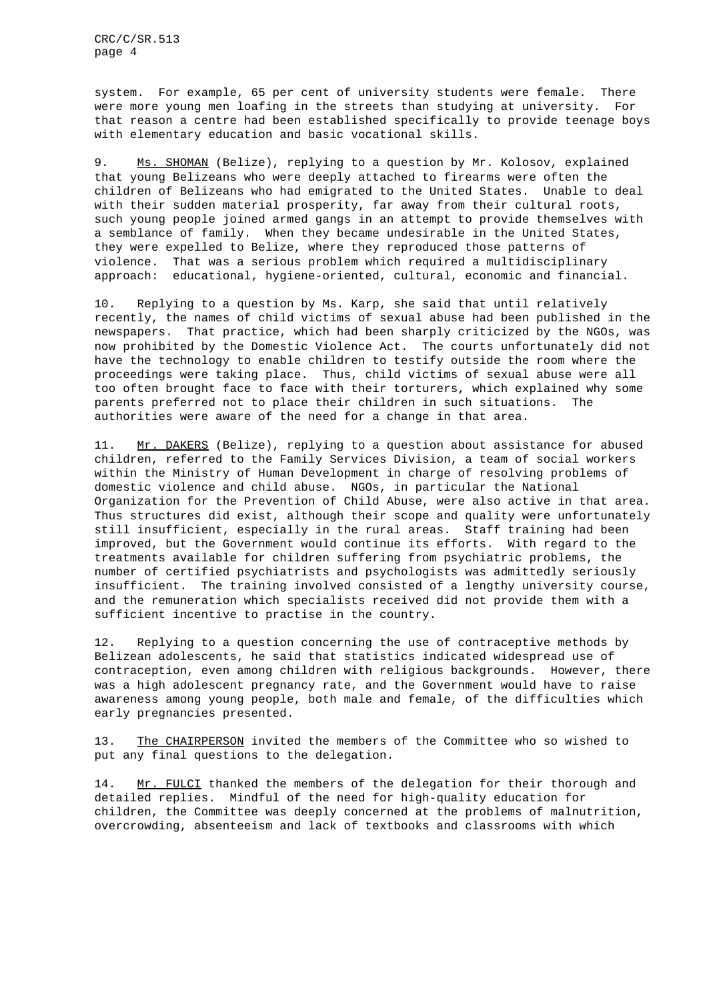system. For example, 65 per cent of university students were female. There were more young men loafing in the streets than studying at university. For that reason a centre had been established specifically to provide teenage boys with elementary education and basic vocational skills.

9. Ms. SHOMAN (Belize), replying to a question by Mr. Kolosov, explained that young Belizeans who were deeply attached to firearms were often the children of Belizeans who had emigrated to the United States. Unable to deal with their sudden material prosperity, far away from their cultural roots, such young people joined armed gangs in an attempt to provide themselves with a semblance of family. When they became undesirable in the United States, they were expelled to Belize, where they reproduced those patterns of violence. That was a serious problem which required a multidisciplinary approach: educational, hygiene-oriented, cultural, economic and financial.

10. Replying to a question by Ms. Karp, she said that until relatively recently, the names of child victims of sexual abuse had been published in the newspapers. That practice, which had been sharply criticized by the NGOs, was now prohibited by the Domestic Violence Act. The courts unfortunately did not have the technology to enable children to testify outside the room where the proceedings were taking place. Thus, child victims of sexual abuse were all too often brought face to face with their torturers, which explained why some parents preferred not to place their children in such situations. The authorities were aware of the need for a change in that area.

11. Mr. DAKERS (Belize), replying to a question about assistance for abused children, referred to the Family Services Division, a team of social workers within the Ministry of Human Development in charge of resolving problems of domestic violence and child abuse. NGOs, in particular the National Organization for the Prevention of Child Abuse, were also active in that area. Thus structures did exist, although their scope and quality were unfortunately still insufficient, especially in the rural areas. Staff training had been improved, but the Government would continue its efforts. With regard to the treatments available for children suffering from psychiatric problems, the number of certified psychiatrists and psychologists was admittedly seriously insufficient. The training involved consisted of a lengthy university course, and the remuneration which specialists received did not provide them with a sufficient incentive to practise in the country.

12. Replying to a question concerning the use of contraceptive methods by Belizean adolescents, he said that statistics indicated widespread use of contraception, even among children with religious backgrounds. However, there was a high adolescent pregnancy rate, and the Government would have to raise awareness among young people, both male and female, of the difficulties which early pregnancies presented.

13. The CHAIRPERSON invited the members of the Committee who so wished to put any final questions to the delegation.

14. Mr. FULCI thanked the members of the delegation for their thorough and detailed replies. Mindful of the need for high-quality education for children, the Committee was deeply concerned at the problems of malnutrition, overcrowding, absenteeism and lack of textbooks and classrooms with which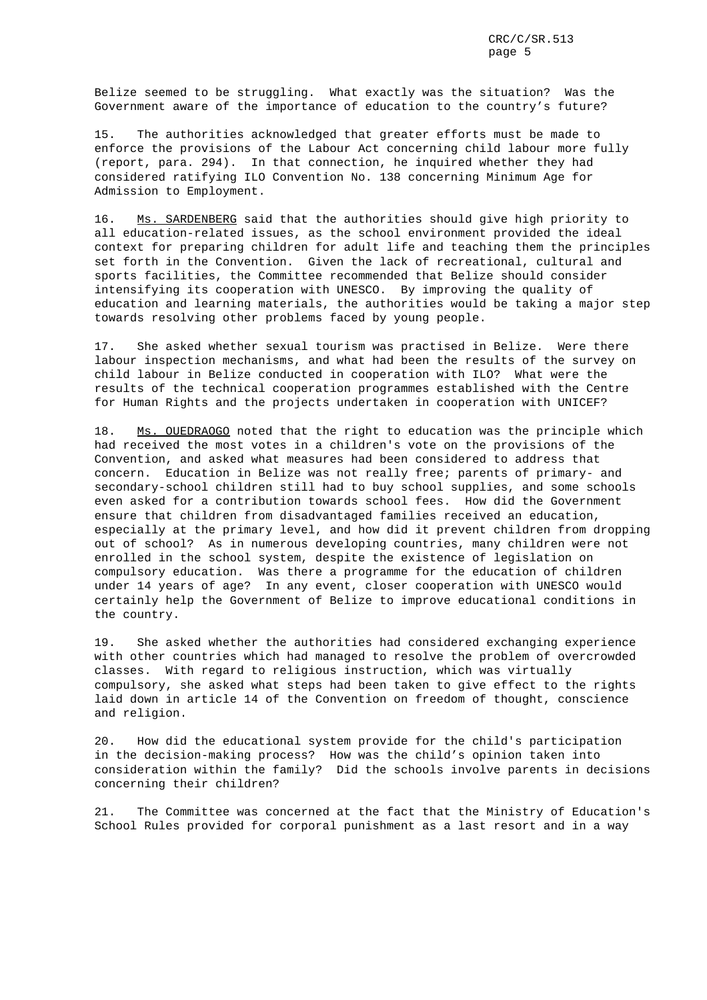Belize seemed to be struggling. What exactly was the situation? Was the Government aware of the importance of education to the country's future?

15. The authorities acknowledged that greater efforts must be made to enforce the provisions of the Labour Act concerning child labour more fully (report, para. 294). In that connection, he inquired whether they had considered ratifying ILO Convention No. 138 concerning Minimum Age for Admission to Employment.

16. Ms. SARDENBERG said that the authorities should give high priority to all education-related issues, as the school environment provided the ideal context for preparing children for adult life and teaching them the principles set forth in the Convention. Given the lack of recreational, cultural and sports facilities, the Committee recommended that Belize should consider intensifying its cooperation with UNESCO. By improving the quality of education and learning materials, the authorities would be taking a major step towards resolving other problems faced by young people.

17. She asked whether sexual tourism was practised in Belize. Were there labour inspection mechanisms, and what had been the results of the survey on child labour in Belize conducted in cooperation with ILO? What were the results of the technical cooperation programmes established with the Centre for Human Rights and the projects undertaken in cooperation with UNICEF?

18. Ms. OUEDRAOGO noted that the right to education was the principle which had received the most votes in a children's vote on the provisions of the Convention, and asked what measures had been considered to address that concern. Education in Belize was not really free; parents of primary- and secondary-school children still had to buy school supplies, and some schools even asked for a contribution towards school fees. How did the Government ensure that children from disadvantaged families received an education, especially at the primary level, and how did it prevent children from dropping out of school? As in numerous developing countries, many children were not enrolled in the school system, despite the existence of legislation on compulsory education. Was there a programme for the education of children under 14 years of age? In any event, closer cooperation with UNESCO would certainly help the Government of Belize to improve educational conditions in the country.

19. She asked whether the authorities had considered exchanging experience with other countries which had managed to resolve the problem of overcrowded classes. With regard to religious instruction, which was virtually compulsory, she asked what steps had been taken to give effect to the rights laid down in article 14 of the Convention on freedom of thought, conscience and religion.

20. How did the educational system provide for the child's participation in the decision-making process? How was the child's opinion taken into consideration within the family? Did the schools involve parents in decisions concerning their children?

21. The Committee was concerned at the fact that the Ministry of Education's School Rules provided for corporal punishment as a last resort and in a way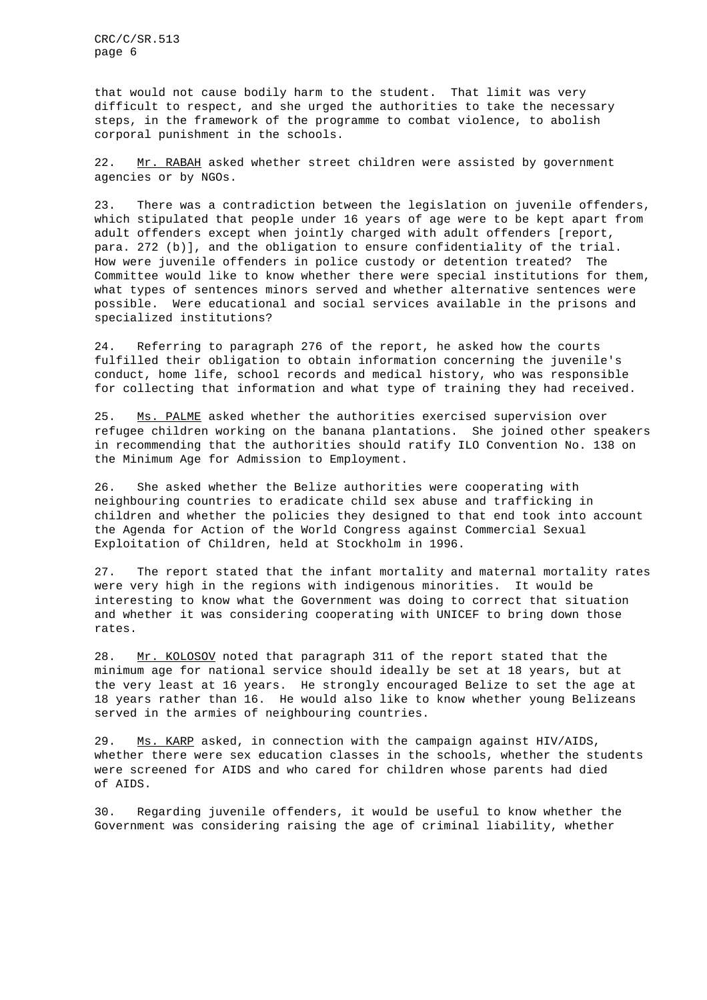CRC/C/SR.513 page 6

that would not cause bodily harm to the student. That limit was very difficult to respect, and she urged the authorities to take the necessary steps, in the framework of the programme to combat violence, to abolish corporal punishment in the schools.

22. Mr. RABAH asked whether street children were assisted by government agencies or by NGOs.

23. There was a contradiction between the legislation on juvenile offenders, which stipulated that people under 16 years of age were to be kept apart from adult offenders except when jointly charged with adult offenders [report, para. 272 (b)], and the obligation to ensure confidentiality of the trial. How were juvenile offenders in police custody or detention treated? The Committee would like to know whether there were special institutions for them, what types of sentences minors served and whether alternative sentences were possible. Were educational and social services available in the prisons and specialized institutions?

24. Referring to paragraph 276 of the report, he asked how the courts fulfilled their obligation to obtain information concerning the juvenile's conduct, home life, school records and medical history, who was responsible for collecting that information and what type of training they had received.

25. Ms. PALME asked whether the authorities exercised supervision over refugee children working on the banana plantations. She joined other speakers in recommending that the authorities should ratify ILO Convention No. 138 on the Minimum Age for Admission to Employment.

26. She asked whether the Belize authorities were cooperating with neighbouring countries to eradicate child sex abuse and trafficking in children and whether the policies they designed to that end took into account the Agenda for Action of the World Congress against Commercial Sexual Exploitation of Children, held at Stockholm in 1996.

27. The report stated that the infant mortality and maternal mortality rates were very high in the regions with indigenous minorities. It would be interesting to know what the Government was doing to correct that situation and whether it was considering cooperating with UNICEF to bring down those rates.

28. Mr. KOLOSOV noted that paragraph 311 of the report stated that the minimum age for national service should ideally be set at 18 years, but at the very least at 16 years. He strongly encouraged Belize to set the age at 18 years rather than 16. He would also like to know whether young Belizeans served in the armies of neighbouring countries.

29. Ms. KARP asked, in connection with the campaign against HIV/AIDS, whether there were sex education classes in the schools, whether the students were screened for AIDS and who cared for children whose parents had died of AIDS.

30. Regarding juvenile offenders, it would be useful to know whether the Government was considering raising the age of criminal liability, whether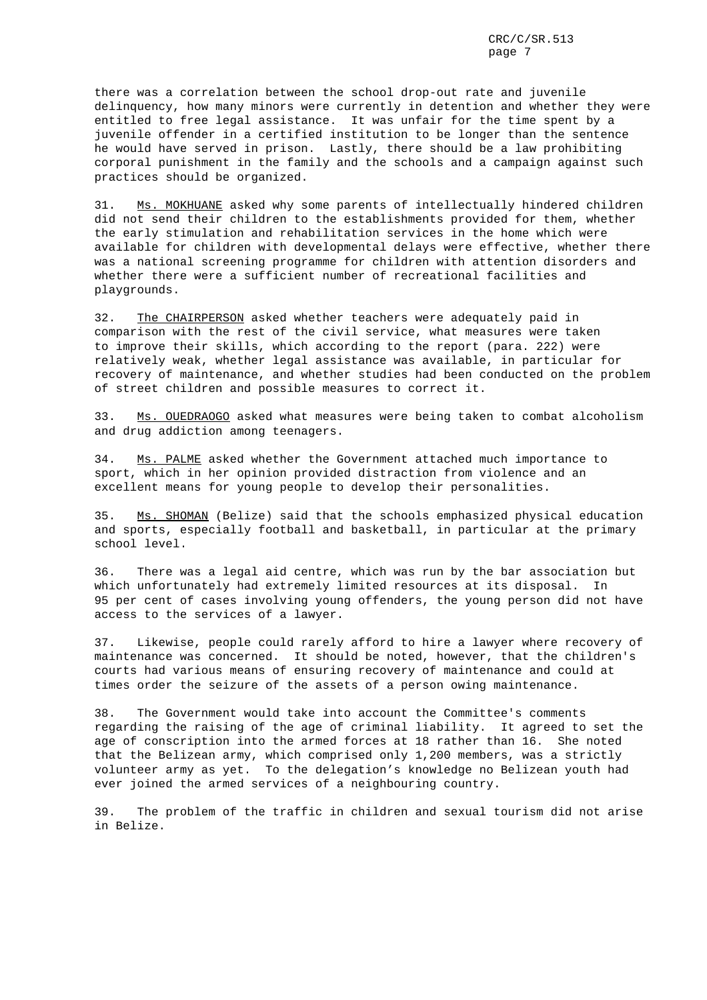there was a correlation between the school drop-out rate and juvenile delinquency, how many minors were currently in detention and whether they were entitled to free legal assistance. It was unfair for the time spent by a juvenile offender in a certified institution to be longer than the sentence he would have served in prison. Lastly, there should be a law prohibiting corporal punishment in the family and the schools and a campaign against such practices should be organized.

31. Ms. MOKHUANE asked why some parents of intellectually hindered children did not send their children to the establishments provided for them, whether the early stimulation and rehabilitation services in the home which were available for children with developmental delays were effective, whether there was a national screening programme for children with attention disorders and whether there were a sufficient number of recreational facilities and playgrounds.

32. The CHAIRPERSON asked whether teachers were adequately paid in comparison with the rest of the civil service, what measures were taken to improve their skills, which according to the report (para. 222) were relatively weak, whether legal assistance was available, in particular for recovery of maintenance, and whether studies had been conducted on the problem of street children and possible measures to correct it.

33. Ms. OUEDRAOGO asked what measures were being taken to combat alcoholism and drug addiction among teenagers.

34. Ms. PALME asked whether the Government attached much importance to sport, which in her opinion provided distraction from violence and an excellent means for young people to develop their personalities.

35. Ms. SHOMAN (Belize) said that the schools emphasized physical education and sports, especially football and basketball, in particular at the primary school level.

36. There was a legal aid centre, which was run by the bar association but which unfortunately had extremely limited resources at its disposal. In 95 per cent of cases involving young offenders, the young person did not have access to the services of a lawyer.

37. Likewise, people could rarely afford to hire a lawyer where recovery of maintenance was concerned. It should be noted, however, that the children's courts had various means of ensuring recovery of maintenance and could at times order the seizure of the assets of a person owing maintenance.

38. The Government would take into account the Committee's comments regarding the raising of the age of criminal liability. It agreed to set the age of conscription into the armed forces at 18 rather than 16. She noted that the Belizean army, which comprised only 1,200 members, was a strictly volunteer army as yet. To the delegation's knowledge no Belizean youth had ever joined the armed services of a neighbouring country.

39. The problem of the traffic in children and sexual tourism did not arise in Belize.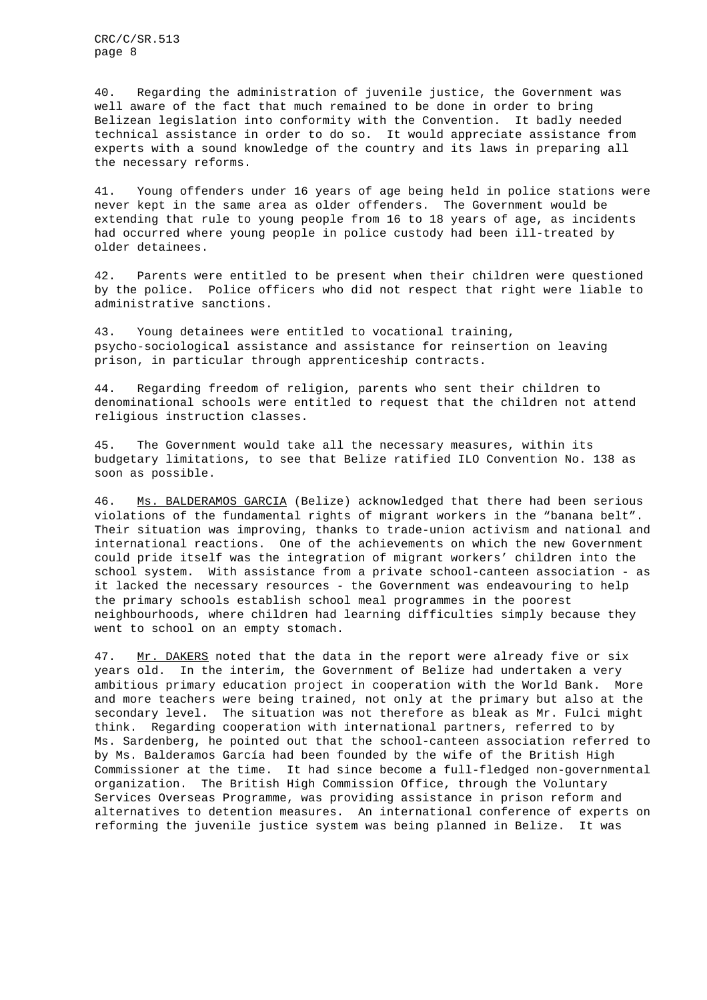CRC/C/SR.513 page 8

40. Regarding the administration of juvenile justice, the Government was well aware of the fact that much remained to be done in order to bring Belizean legislation into conformity with the Convention. It badly needed technical assistance in order to do so. It would appreciate assistance from experts with a sound knowledge of the country and its laws in preparing all the necessary reforms.

41. Young offenders under 16 years of age being held in police stations were never kept in the same area as older offenders. The Government would be extending that rule to young people from 16 to 18 years of age, as incidents had occurred where young people in police custody had been ill-treated by older detainees.

42. Parents were entitled to be present when their children were questioned by the police. Police officers who did not respect that right were liable to administrative sanctions.

43. Young detainees were entitled to vocational training, psycho-sociological assistance and assistance for reinsertion on leaving prison, in particular through apprenticeship contracts.

44. Regarding freedom of religion, parents who sent their children to denominational schools were entitled to request that the children not attend religious instruction classes.

45. The Government would take all the necessary measures, within its budgetary limitations, to see that Belize ratified ILO Convention No. 138 as soon as possible.

46. Ms. BALDERAMOS GARCIA (Belize) acknowledged that there had been serious violations of the fundamental rights of migrant workers in the "banana belt". Their situation was improving, thanks to trade-union activism and national and international reactions. One of the achievements on which the new Government could pride itself was the integration of migrant workers' children into the school system. With assistance from a private school-canteen association - as it lacked the necessary resources - the Government was endeavouring to help the primary schools establish school meal programmes in the poorest neighbourhoods, where children had learning difficulties simply because they went to school on an empty stomach.

47. Mr. DAKERS noted that the data in the report were already five or six years old. In the interim, the Government of Belize had undertaken a very ambitious primary education project in cooperation with the World Bank. More and more teachers were being trained, not only at the primary but also at the secondary level. The situation was not therefore as bleak as Mr. Fulci might think. Regarding cooperation with international partners, referred to by Ms. Sardenberg, he pointed out that the school-canteen association referred to by Ms. Balderamos García had been founded by the wife of the British High Commissioner at the time. It had since become a full-fledged non-governmental organization. The British High Commission Office, through the Voluntary Services Overseas Programme, was providing assistance in prison reform and alternatives to detention measures. An international conference of experts on reforming the juvenile justice system was being planned in Belize. It was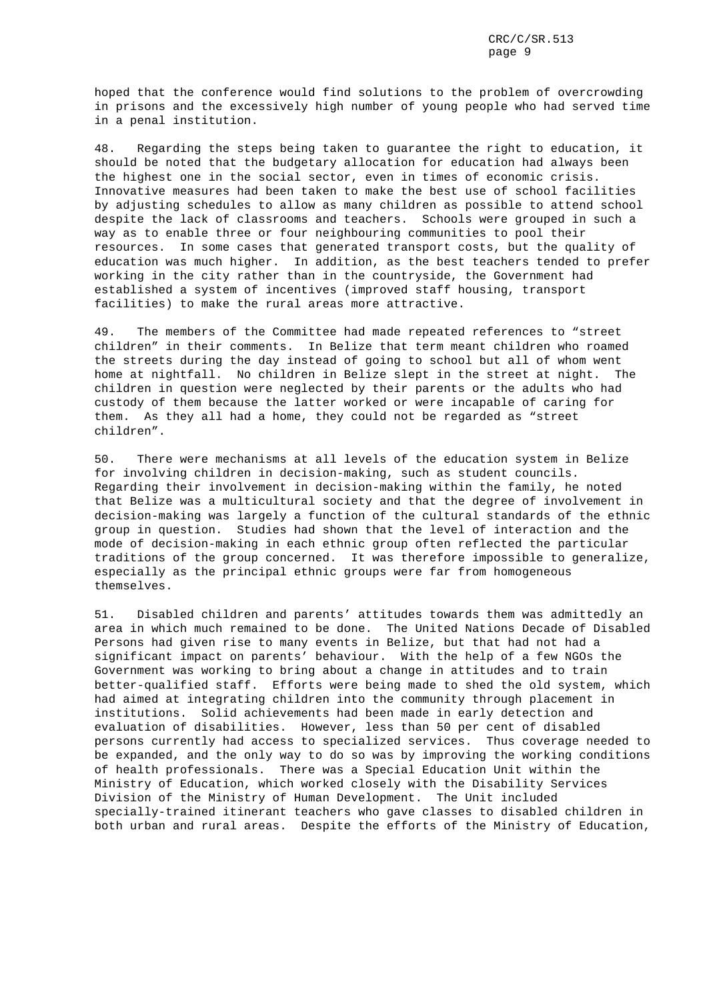hoped that the conference would find solutions to the problem of overcrowding in prisons and the excessively high number of young people who had served time in a penal institution.

48. Regarding the steps being taken to guarantee the right to education, it should be noted that the budgetary allocation for education had always been the highest one in the social sector, even in times of economic crisis. Innovative measures had been taken to make the best use of school facilities by adjusting schedules to allow as many children as possible to attend school despite the lack of classrooms and teachers. Schools were grouped in such a way as to enable three or four neighbouring communities to pool their resources. In some cases that generated transport costs, but the quality of education was much higher. In addition, as the best teachers tended to prefer working in the city rather than in the countryside, the Government had established a system of incentives (improved staff housing, transport facilities) to make the rural areas more attractive.

49. The members of the Committee had made repeated references to "street children" in their comments. In Belize that term meant children who roamed the streets during the day instead of going to school but all of whom went home at nightfall. No children in Belize slept in the street at night. The children in question were neglected by their parents or the adults who had custody of them because the latter worked or were incapable of caring for them. As they all had a home, they could not be regarded as "street children".

50. There were mechanisms at all levels of the education system in Belize for involving children in decision-making, such as student councils. Regarding their involvement in decision-making within the family, he noted that Belize was a multicultural society and that the degree of involvement in decision-making was largely a function of the cultural standards of the ethnic group in question. Studies had shown that the level of interaction and the mode of decision-making in each ethnic group often reflected the particular traditions of the group concerned. It was therefore impossible to generalize, especially as the principal ethnic groups were far from homogeneous themselves.

51. Disabled children and parents' attitudes towards them was admittedly an area in which much remained to be done. The United Nations Decade of Disabled Persons had given rise to many events in Belize, but that had not had a significant impact on parents' behaviour. With the help of a few NGOs the Government was working to bring about a change in attitudes and to train better-qualified staff. Efforts were being made to shed the old system, which had aimed at integrating children into the community through placement in institutions. Solid achievements had been made in early detection and evaluation of disabilities. However, less than 50 per cent of disabled persons currently had access to specialized services. Thus coverage needed to be expanded, and the only way to do so was by improving the working conditions of health professionals. There was a Special Education Unit within the Ministry of Education, which worked closely with the Disability Services Division of the Ministry of Human Development. The Unit included specially-trained itinerant teachers who gave classes to disabled children in both urban and rural areas. Despite the efforts of the Ministry of Education,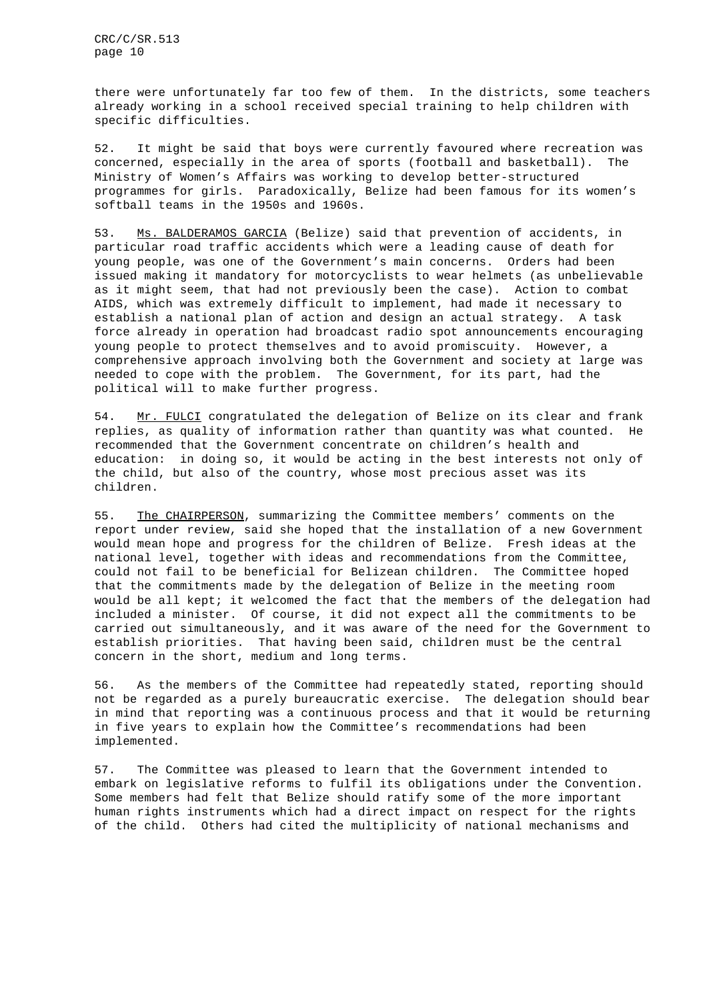there were unfortunately far too few of them. In the districts, some teachers already working in a school received special training to help children with specific difficulties.

52. It might be said that boys were currently favoured where recreation was concerned, especially in the area of sports (football and basketball). The Ministry of Women's Affairs was working to develop better-structured programmes for girls. Paradoxically, Belize had been famous for its women's softball teams in the 1950s and 1960s.

53. Ms. BALDERAMOS GARCIA (Belize) said that prevention of accidents, in particular road traffic accidents which were a leading cause of death for young people, was one of the Government's main concerns. Orders had been issued making it mandatory for motorcyclists to wear helmets (as unbelievable as it might seem, that had not previously been the case). Action to combat AIDS, which was extremely difficult to implement, had made it necessary to establish a national plan of action and design an actual strategy. A task force already in operation had broadcast radio spot announcements encouraging young people to protect themselves and to avoid promiscuity. However, a comprehensive approach involving both the Government and society at large was needed to cope with the problem. The Government, for its part, had the political will to make further progress.

54. Mr. FULCI congratulated the delegation of Belize on its clear and frank replies, as quality of information rather than quantity was what counted. He recommended that the Government concentrate on children's health and education: in doing so, it would be acting in the best interests not only of the child, but also of the country, whose most precious asset was its children.

55. The CHAIRPERSON, summarizing the Committee members' comments on the report under review, said she hoped that the installation of a new Government would mean hope and progress for the children of Belize. Fresh ideas at the national level, together with ideas and recommendations from the Committee, could not fail to be beneficial for Belizean children. The Committee hoped that the commitments made by the delegation of Belize in the meeting room would be all kept; it welcomed the fact that the members of the delegation had included a minister. Of course, it did not expect all the commitments to be carried out simultaneously, and it was aware of the need for the Government to establish priorities. That having been said, children must be the central concern in the short, medium and long terms.

56. As the members of the Committee had repeatedly stated, reporting should not be regarded as a purely bureaucratic exercise. The delegation should bear in mind that reporting was a continuous process and that it would be returning in five years to explain how the Committee's recommendations had been implemented.

57. The Committee was pleased to learn that the Government intended to embark on legislative reforms to fulfil its obligations under the Convention. Some members had felt that Belize should ratify some of the more important human rights instruments which had a direct impact on respect for the rights of the child. Others had cited the multiplicity of national mechanisms and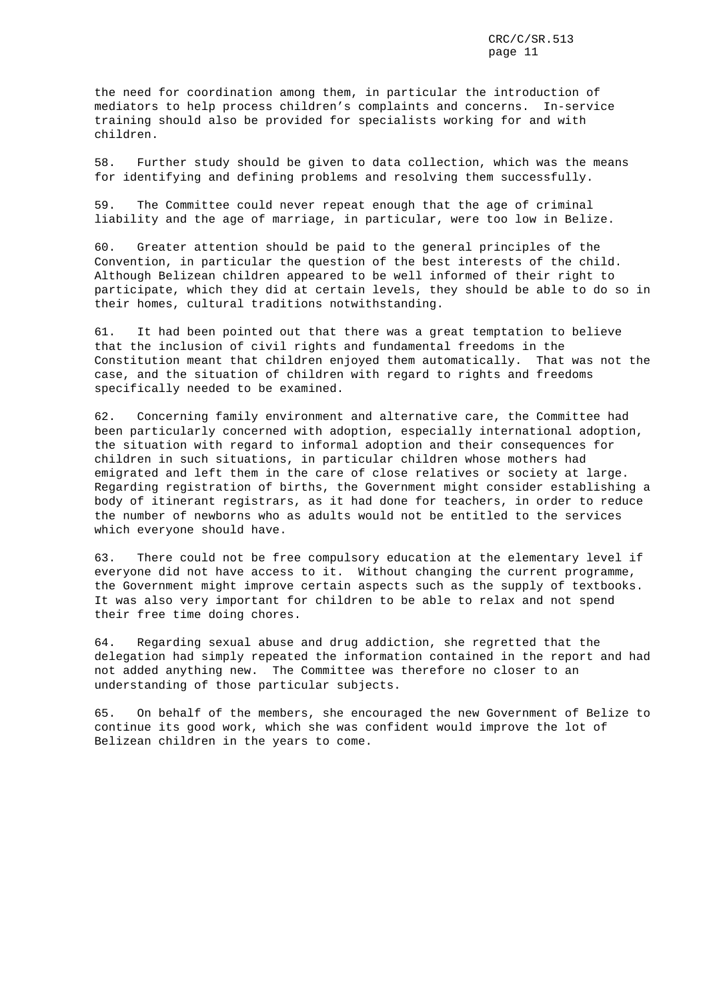the need for coordination among them, in particular the introduction of mediators to help process children's complaints and concerns. In-service training should also be provided for specialists working for and with children.

58. Further study should be given to data collection, which was the means for identifying and defining problems and resolving them successfully.

59. The Committee could never repeat enough that the age of criminal liability and the age of marriage, in particular, were too low in Belize.

60. Greater attention should be paid to the general principles of the Convention, in particular the question of the best interests of the child. Although Belizean children appeared to be well informed of their right to participate, which they did at certain levels, they should be able to do so in their homes, cultural traditions notwithstanding.

61. It had been pointed out that there was a great temptation to believe that the inclusion of civil rights and fundamental freedoms in the Constitution meant that children enjoyed them automatically. That was not the case, and the situation of children with regard to rights and freedoms specifically needed to be examined.

62. Concerning family environment and alternative care, the Committee had been particularly concerned with adoption, especially international adoption, the situation with regard to informal adoption and their consequences for children in such situations, in particular children whose mothers had emigrated and left them in the care of close relatives or society at large. Regarding registration of births, the Government might consider establishing a body of itinerant registrars, as it had done for teachers, in order to reduce the number of newborns who as adults would not be entitled to the services which everyone should have.

63. There could not be free compulsory education at the elementary level if everyone did not have access to it. Without changing the current programme, the Government might improve certain aspects such as the supply of textbooks. It was also very important for children to be able to relax and not spend their free time doing chores.

64. Regarding sexual abuse and drug addiction, she regretted that the delegation had simply repeated the information contained in the report and had not added anything new. The Committee was therefore no closer to an understanding of those particular subjects.

65. On behalf of the members, she encouraged the new Government of Belize to continue its good work, which she was confident would improve the lot of Belizean children in the years to come.